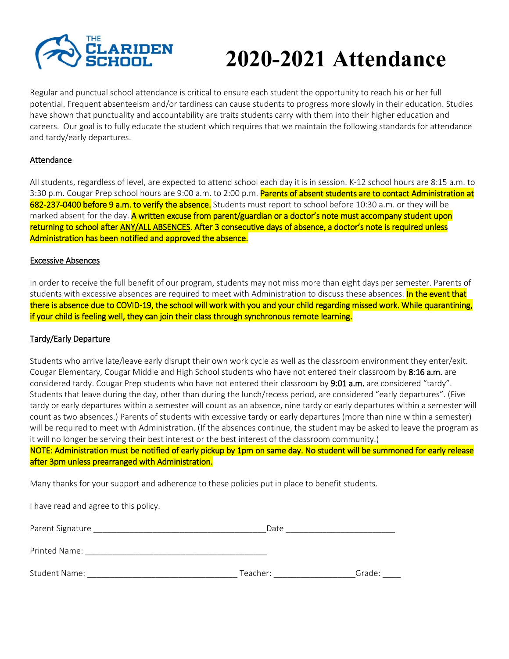

# **2020-2021 Attendance**

Regular and punctual school attendance is critical to ensure each student the opportunity to reach his or her full potential. Frequent absenteeism and/or tardiness can cause students to progress more slowly in their education. Studies have shown that punctuality and accountability are traits students carry with them into their higher education and careers. Our goal is to fully educate the student which requires that we maintain the following standards for attendance and tardy/early departures.

#### Attendance

All students, regardless of level, are expected to attend school each day it is in session. K-12 school hours are 8:15 a.m. to 3:30 p.m. Cougar Prep school hours are 9:00 a.m. to 2:00 p.m. Parents of absent students are to contact Administration at 682-237-0400 before 9 a.m. to verify the absence. Students must report to school before 10:30 a.m. or they will be marked absent for the day. A written excuse from parent/guardian or a doctor's note must accompany student upon returning to school after ANY/ALL ABSENCES. After 3 consecutive days of absence, a doctor's note is required unless Administration has been notified and approved the absence.

#### Excessive Absences

In order to receive the full benefit of our program, students may not miss more than eight days per semester. Parents of students with excessive absences are required to meet with Administration to discuss these absences. **In the event that** there is absence due to COVID-19, the school will work with you and your child regarding missed work. While quarantining, if your child is feeling well, they can join their class through synchronous remote learning.

#### Tardy/Early Departure

Students who arrive late/leave early disrupt their own work cycle as well as the classroom environment they enter/exit. Cougar Elementary, Cougar Middle and High School students who have not entered their classroom by 8:16 a.m. are considered tardy. Cougar Prep students who have not entered their classroom by 9:01 a.m. are considered "tardy". Students that leave during the day, other than during the lunch/recess period, are considered "early departures". (Five tardy or early departures within a semester will count as an absence, nine tardy or early departures within a semester will count as two absences.) Parents of students with excessive tardy or early departures (more than nine within a semester) will be required to meet with Administration. (If the absences continue, the student may be asked to leave the program as it will no longer be serving their best interest or the best interest of the classroom community.)

NOTE: Administration must be notified of early pickup by 1pm on same day. No student will be summoned for early release after 3pm unless prearranged with Administration.

Many thanks for your support and adherence to these policies put in place to benefit students.

| I have read and agree to this policy. |          |        |
|---------------------------------------|----------|--------|
| Parent Signature                      | Date     |        |
| Printed Name:                         |          |        |
| <b>Student Name:</b>                  | Teacher: | Grade: |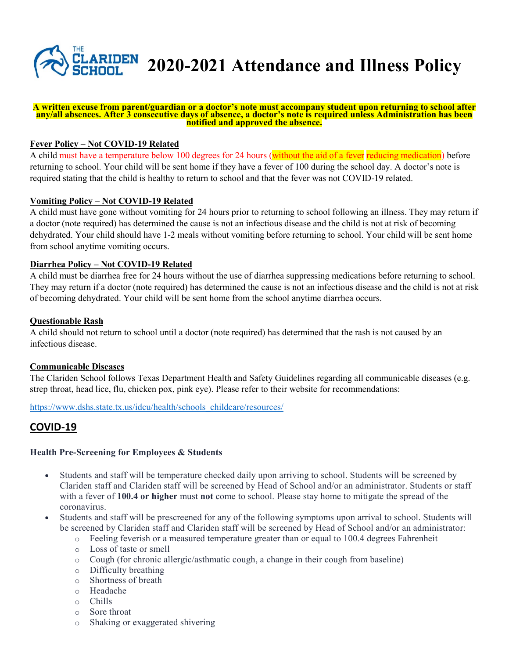

#### **A written excuse from parent/guardian or a doctor's note must accompany student upon returning to school after any/all absences. After 3 consecutive days of absence, a doctor's note is required unless Administration has been notified and approved the absence.**

## **Fever Policy – Not COVID-19 Related**

A child must have a temperature below 100 degrees for 24 hours (without the aid of a fever reducing medication) before returning to school. Your child will be sent home if they have a fever of 100 during the school day. A doctor's note is required stating that the child is healthy to return to school and that the fever was not COVID-19 related.

#### **Vomiting Policy – Not COVID-19 Related**

A child must have gone without vomiting for 24 hours prior to returning to school following an illness. They may return if a doctor (note required) has determined the cause is not an infectious disease and the child is not at risk of becoming dehydrated. Your child should have 1-2 meals without vomiting before returning to school. Your child will be sent home from school anytime vomiting occurs.

#### **Diarrhea Policy – Not COVID-19 Related**

A child must be diarrhea free for 24 hours without the use of diarrhea suppressing medications before returning to school. They may return if a doctor (note required) has determined the cause is not an infectious disease and the child is not at risk of becoming dehydrated. Your child will be sent home from the school anytime diarrhea occurs.

#### **Questionable Rash**

A child should not return to school until a doctor (note required) has determined that the rash is not caused by an infectious disease.

#### **Communicable Diseases**

The Clariden School follows Texas Department Health and Safety Guidelines regarding all communicable diseases (e.g. strep throat, head lice, flu, chicken pox, pink eye). Please refer to their website for recommendations:

https://www.dshs.state.tx.us/idcu/health/schools\_childcare/resources/

# **COVID-19**

#### **Health Pre-Screening for Employees & Students**

- Students and staff will be temperature checked daily upon arriving to school. Students will be screened by Clariden staff and Clariden staff will be screened by Head of School and/or an administrator. Students or staff with a fever of **100.4 or higher** must **not** come to school. Please stay home to mitigate the spread of the coronavirus.
- Students and staff will be prescreened for any of the following symptoms upon arrival to school. Students will be screened by Clariden staff and Clariden staff will be screened by Head of School and/or an administrator:
	- $\circ$  Feeling feverish or a measured temperature greater than or equal to 100.4 degrees Fahrenheit
	- o Loss of taste or smell
	- o Cough (for chronic allergic/asthmatic cough, a change in their cough from baseline)
	- o Difficulty breathing
	- o Shortness of breath
	- o Headache
	- o Chills
	- o Sore throat
	- o Shaking or exaggerated shivering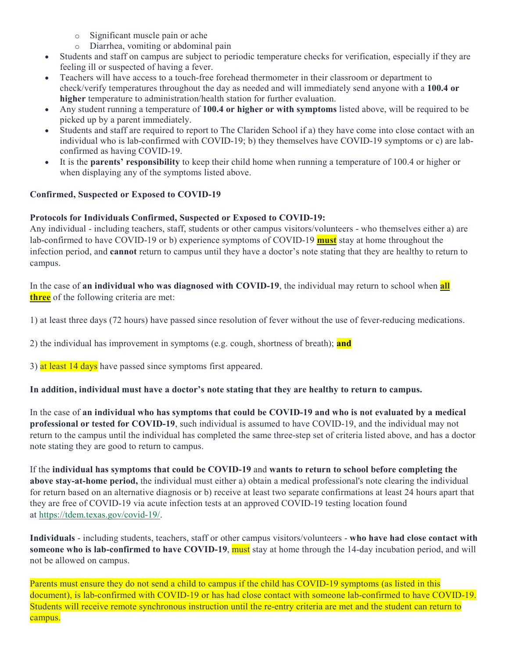- o Significant muscle pain or ache
- o Diarrhea, vomiting or abdominal pain
- x Students and staff on campus are subject to periodic temperature checks for verification, especially if they are feeling ill or suspected of having a fever.
- x Teachers will have access to a touch-free forehead thermometer in their classroom or department to check/verify temperatures throughout the day as needed and will immediately send anyone with a **100.4 or higher** temperature to administration/health station for further evaluation.
- x Any student running a temperature of **100.4 or higher or with symptoms** listed above, will be required to be picked up by a parent immediately.
- Students and staff are required to report to The Clariden School if a) they have come into close contact with an individual who is lab-confirmed with COVID-19; b) they themselves have COVID-19 symptoms or c) are labconfirmed as having COVID-19.
- x It is the **parents' responsibility** to keep their child home when running a temperature of 100.4 or higher or when displaying any of the symptoms listed above.

# **Confirmed, Suspected or Exposed to COVID-19**

# **Protocols for Individuals Confirmed, Suspected or Exposed to COVID-19:**

Any individual - including teachers, staff, students or other campus visitors/volunteers - who themselves either a) are lab-confirmed to have COVID-19 or b) experience symptoms of COVID-19 **must** stay at home throughout the infection period, and **cannot** return to campus until they have a doctor's note stating that they are healthy to return to campus.

In the case of **an individual who was diagnosed with COVID-19**, the individual may return to school when **all three** of the following criteria are met:

1) at least three days (72 hours) have passed since resolution of fever without the use of fever-reducing medications.

2) the individual has improvement in symptoms (e.g. cough, shortness of breath); **and**

3) at least 14 days have passed since symptoms first appeared.

# **In addition, individual must have a doctor's note stating that they are healthy to return to campus.**

In the case of **an individual who has symptoms that could be COVID-19 and who is not evaluated by a medical professional or tested for COVID-19**, such individual is assumed to have COVID-19, and the individual may not return to the campus until the individual has completed the same three-step set of criteria listed above, and has a doctor note stating they are good to return to campus.

If the **individual has symptoms that could be COVID-19** and **wants to return to school before completing the above stay-at-home period,** the individual must either a) obtain a medical professional's note clearing the individual for return based on an alternative diagnosis or b) receive at least two separate confirmations at least 24 hours apart that they are free of COVID-19 via acute infection tests at an approved COVID-19 testing location found at https://tdem.texas.gov/covid-19/.

**Individuals** - including students, teachers, staff or other campus visitors/volunteers - **who have had close contact with someone who is lab-confirmed to have COVID-19**, must stay at home through the 14-day incubation period, and will not be allowed on campus.

Parents must ensure they do not send a child to campus if the child has COVID-19 symptoms (as listed in this document), is lab-confirmed with COVID-19 or has had close contact with someone lab-confirmed to have COVID-19. Students will receive remote synchronous instruction until the re-entry criteria are met and the student can return to campus.